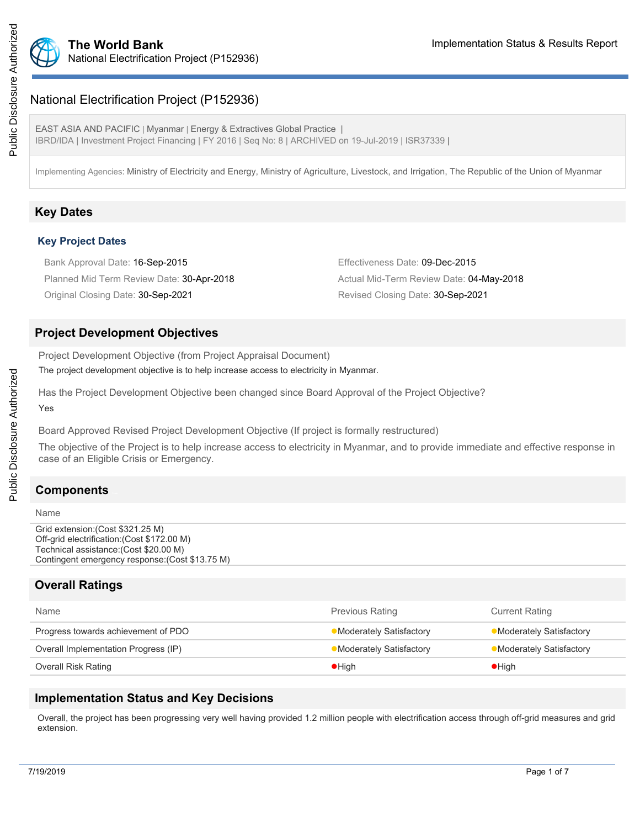

## National Electrification Project (P152936)

EAST ASIA AND PACIFIC | Myanmar | Energy & Extractives Global Practice | IBRD/IDA | Investment Project Financing | FY 2016 | Seq No: 8 | ARCHIVED on 19-Jul-2019 | ISR37339 |

Implementing Agencies: Ministry of Electricity and Energy, Ministry of Agriculture, Livestock, and Irrigation, The Republic of the Union of Myanmar

## **Key Dates**

#### **Key Project Dates**

Bank Approval Date: 16-Sep-2015 **Effectiveness Date: 09-Dec-2015** Planned Mid Term Review Date: 30-Apr-2018 Actual Mid-Term Review Date: 04-May-2018 Original Closing Date: 30-Sep-2021 Revised Closing Date: 30-Sep-2021

## **Project Development Objectives**

Project Development Objective (from Project Appraisal Document) The project development objective is to help increase access to electricity in Myanmar.

Has the Project Development Objective been changed since Board Approval of the Project Objective?

Yes

Board Approved Revised Project Development Objective (If project is formally restructured)

The objective of the Project is to help increase access to electricity in Myanmar, and to provide immediate and effective response in case of an Eligible Crisis or Emergency.

## **Components**

#### Name

Grid extension:(Cost \$321.25 M) Off-grid electrification:(Cost \$172.00 M) Technical assistance:(Cost \$20.00 M) Contingent emergency response:(Cost \$13.75 M)

## **Overall Ratings**

| Name                                 | <b>Previous Rating</b>         | <b>Current Rating</b>    |
|--------------------------------------|--------------------------------|--------------------------|
| Progress towards achievement of PDO  | Moderately Satisfactory        | •Moderately Satisfactory |
| Overall Implementation Progress (IP) | <b>Moderately Satisfactory</b> | •Moderately Satisfactory |
| Overall Risk Rating                  | $\bullet$ High                 | $\bullet$ High           |

### **Implementation Status and Key Decisions**

Overall, the project has been progressing very well having provided 1.2 million people with electrification access through off-grid measures and grid extension.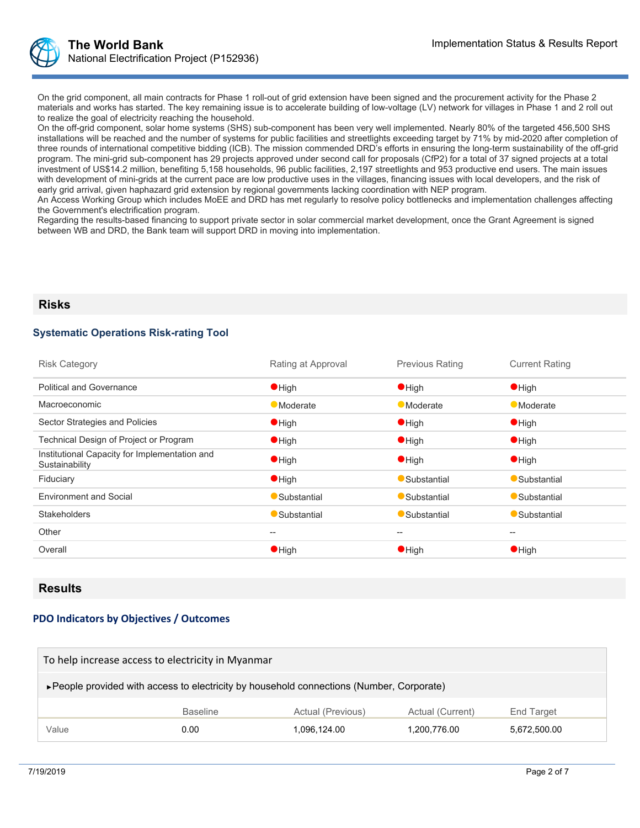

On the grid component, all main contracts for Phase 1 roll-out of grid extension have been signed and the procurement activity for the Phase 2 materials and works has started. The key remaining issue is to accelerate building of low-voltage (LV) network for villages in Phase 1 and 2 roll out to realize the goal of electricity reaching the household.

On the off-grid component, solar home systems (SHS) sub-component has been very well implemented. Nearly 80% of the targeted 456,500 SHS installations will be reached and the number of systems for public facilities and streetlights exceeding target by 71% by mid-2020 after completion of three rounds of international competitive bidding (ICB). The mission commended DRD's efforts in ensuring the long-term sustainability of the off-grid program. The mini-grid sub-component has 29 projects approved under second call for proposals (CfP2) for a total of 37 signed projects at a total investment of US\$14.2 million, benefiting 5,158 households, 96 public facilities, 2,197 streetlights and 953 productive end users. The main issues with development of mini-grids at the current pace are low productive uses in the villages, financing issues with local developers, and the risk of early grid arrival, given haphazard grid extension by regional governments lacking coordination with NEP program.

An Access Working Group which includes MoEE and DRD has met regularly to resolve policy bottlenecks and implementation challenges affecting the Government's electrification program.

Regarding the results-based financing to support private sector in solar commercial market development, once the Grant Agreement is signed between WB and DRD, the Bank team will support DRD in moving into implementation.

#### **Risks**

#### **Systematic Operations Risk-rating Tool**

| <b>Risk Category</b>                                            | Rating at Approval | <b>Previous Rating</b> | <b>Current Rating</b>                               |
|-----------------------------------------------------------------|--------------------|------------------------|-----------------------------------------------------|
| <b>Political and Governance</b>                                 | $\bullet$ High     | $\bullet$ High         | $\bullet$ High                                      |
| Macroeconomic                                                   | <b>Moderate</b>    | <b>Moderate</b>        | <b>Moderate</b>                                     |
| Sector Strategies and Policies                                  | $\bullet$ High     | $\bullet$ High         | $\bullet$ High                                      |
| Technical Design of Project or Program                          | $\bullet$ High     | $\bullet$ High         | $\bullet$ High                                      |
| Institutional Capacity for Implementation and<br>Sustainability | $\bullet$ High     | $\bullet$ High         | $\bullet$ High                                      |
| Fiduciary                                                       | $\bullet$ High     | Substantial            | Substantial                                         |
| <b>Environment and Social</b>                                   | Substantial        | Substantial            | Substantial                                         |
| <b>Stakeholders</b>                                             | Substantial        | Substantial            | Substantial                                         |
| Other                                                           | $- -$              | --                     | $\hspace{0.05cm} -\hspace{0.05cm} -\hspace{0.05cm}$ |
| Overall                                                         | $\bullet$ High     | $\bullet$ High         | $\bullet$ High                                      |

#### **Results**

#### **PDO Indicators by Objectives / Outcomes**

| To help increase access to electricity in Myanmar                                         |      |              |              |              |  |
|-------------------------------------------------------------------------------------------|------|--------------|--------------|--------------|--|
| ► People provided with access to electricity by household connections (Number, Corporate) |      |              |              |              |  |
| Actual (Previous)<br><b>Baseline</b><br>Actual (Current)<br>End Target                    |      |              |              |              |  |
| Value                                                                                     | 0.00 | 1,096,124.00 | 1,200,776.00 | 5,672,500.00 |  |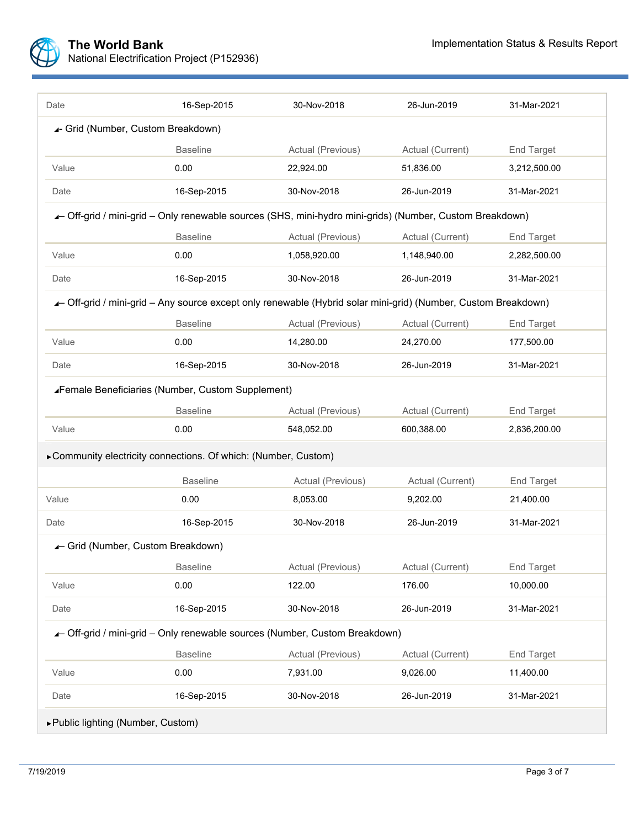

| Date                                                            | 16-Sep-2015                                                                                                   | 30-Nov-2018       | 26-Jun-2019      | 31-Mar-2021       |  |  |
|-----------------------------------------------------------------|---------------------------------------------------------------------------------------------------------------|-------------------|------------------|-------------------|--|--|
| 4- Grid (Number, Custom Breakdown)                              |                                                                                                               |                   |                  |                   |  |  |
|                                                                 | <b>Baseline</b>                                                                                               | Actual (Previous) | Actual (Current) | End Target        |  |  |
| Value                                                           | 0.00                                                                                                          | 22,924.00         | 51,836.00        | 3,212,500.00      |  |  |
| Date                                                            | 16-Sep-2015                                                                                                   | 30-Nov-2018       | 26-Jun-2019      | 31-Mar-2021       |  |  |
|                                                                 | - Off-grid / mini-grid - Only renewable sources (SHS, mini-hydro mini-grids) (Number, Custom Breakdown)       |                   |                  |                   |  |  |
|                                                                 | <b>Baseline</b>                                                                                               | Actual (Previous) | Actual (Current) | <b>End Target</b> |  |  |
| Value                                                           | 0.00                                                                                                          | 1,058,920.00      | 1,148,940.00     | 2,282,500.00      |  |  |
| Date                                                            | 16-Sep-2015                                                                                                   | 30-Nov-2018       | 26-Jun-2019      | 31-Mar-2021       |  |  |
|                                                                 | - Off-grid / mini-grid - Any source except only renewable (Hybrid solar mini-grid) (Number, Custom Breakdown) |                   |                  |                   |  |  |
|                                                                 | <b>Baseline</b>                                                                                               | Actual (Previous) | Actual (Current) | End Target        |  |  |
| Value                                                           | 0.00                                                                                                          | 14,280.00         | 24,270.00        | 177,500.00        |  |  |
| Date                                                            | 16-Sep-2015                                                                                                   | 30-Nov-2018       | 26-Jun-2019      | 31-Mar-2021       |  |  |
|                                                                 | Female Beneficiaries (Number, Custom Supplement)                                                              |                   |                  |                   |  |  |
|                                                                 | <b>Baseline</b>                                                                                               | Actual (Previous) | Actual (Current) | <b>End Target</b> |  |  |
| Value                                                           | 0.00                                                                                                          | 548,052.00        | 600,388.00       | 2,836,200.00      |  |  |
| ▶ Community electricity connections. Of which: (Number, Custom) |                                                                                                               |                   |                  |                   |  |  |
|                                                                 | <b>Baseline</b>                                                                                               | Actual (Previous) | Actual (Current) | <b>End Target</b> |  |  |
| Value                                                           | 0.00                                                                                                          | 8,053.00          | 9,202.00         | 21,400.00         |  |  |
| Date                                                            | 16-Sep-2015                                                                                                   | 30-Nov-2018       | 26-Jun-2019      | 31-Mar-2021       |  |  |
| ▲ Grid (Number, Custom Breakdown)                               |                                                                                                               |                   |                  |                   |  |  |
|                                                                 | <b>Baseline</b>                                                                                               | Actual (Previous) | Actual (Current) | <b>End Target</b> |  |  |
| Value                                                           | 0.00                                                                                                          | 122.00            | 176.00           | 10,000.00         |  |  |
| Date                                                            | 16-Sep-2015                                                                                                   | 30-Nov-2018       | 26-Jun-2019      | 31-Mar-2021       |  |  |
|                                                                 | - Off-grid / mini-grid - Only renewable sources (Number, Custom Breakdown)                                    |                   |                  |                   |  |  |
|                                                                 | <b>Baseline</b>                                                                                               | Actual (Previous) | Actual (Current) | End Target        |  |  |
| Value                                                           | 0.00                                                                                                          | 7,931.00          | 9,026.00         | 11,400.00         |  |  |
| Date                                                            | 16-Sep-2015                                                                                                   | 30-Nov-2018       | 26-Jun-2019      | 31-Mar-2021       |  |  |
| ▶ Public lighting (Number, Custom)                              |                                                                                                               |                   |                  |                   |  |  |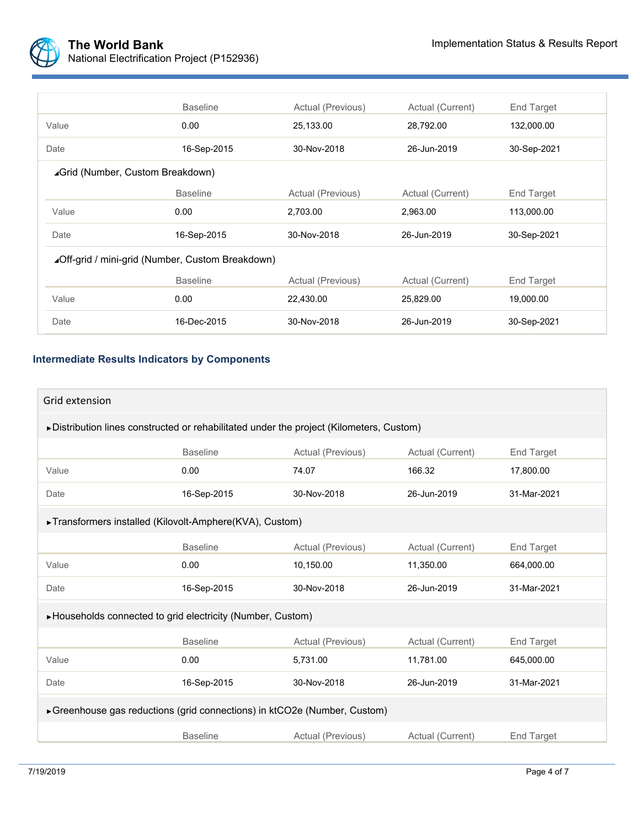

|                                                  | <b>Baseline</b> | Actual (Previous) | Actual (Current) | End Target        |
|--------------------------------------------------|-----------------|-------------------|------------------|-------------------|
| Value                                            | 0.00            | 25,133.00         | 28,792.00        | 132,000.00        |
| Date                                             | 16-Sep-2015     | 30-Nov-2018       | 26-Jun-2019      | 30-Sep-2021       |
| ⊿Grid (Number, Custom Breakdown)                 |                 |                   |                  |                   |
|                                                  | <b>Baseline</b> | Actual (Previous) | Actual (Current) | End Target        |
| Value                                            | 0.00            | 2,703.00          | 2,963.00         | 113,000.00        |
| Date                                             | 16-Sep-2015     | 30-Nov-2018       | 26-Jun-2019      | 30-Sep-2021       |
| ⊿Off-grid / mini-grid (Number, Custom Breakdown) |                 |                   |                  |                   |
|                                                  | <b>Baseline</b> | Actual (Previous) | Actual (Current) | <b>End Target</b> |
| Value                                            | 0.00            | 22,430.00         | 25,829.00        | 19,000.00         |
| Date                                             | 16-Dec-2015     | 30-Nov-2018       | 26-Jun-2019      | 30-Sep-2021       |

## **Intermediate Results Indicators by Components**

| Grid extension                                                                           |                 |                   |                  |                   |  |
|------------------------------------------------------------------------------------------|-----------------|-------------------|------------------|-------------------|--|
| ▶ Distribution lines constructed or rehabilitated under the project (Kilometers, Custom) |                 |                   |                  |                   |  |
|                                                                                          | <b>Baseline</b> | Actual (Previous) | Actual (Current) | End Target        |  |
| Value                                                                                    | 0.00            | 74.07             | 166.32           | 17,800.00         |  |
| Date                                                                                     | 16-Sep-2015     | 30-Nov-2018       | 26-Jun-2019      | 31-Mar-2021       |  |
| ► Transformers installed (Kilovolt-Amphere(KVA), Custom)                                 |                 |                   |                  |                   |  |
|                                                                                          | <b>Baseline</b> | Actual (Previous) | Actual (Current) | <b>End Target</b> |  |
| Value                                                                                    | 0.00            | 10,150.00         | 11,350.00        | 664,000.00        |  |
| Date                                                                                     | 16-Sep-2015     | 30-Nov-2018       | 26-Jun-2019      | 31-Mar-2021       |  |
| ▶Households connected to grid electricity (Number, Custom)                               |                 |                   |                  |                   |  |
|                                                                                          | <b>Baseline</b> | Actual (Previous) | Actual (Current) | <b>End Target</b> |  |
| Value                                                                                    | 0.00            | 5,731.00          | 11,781.00        | 645,000.00        |  |
| Date                                                                                     | 16-Sep-2015     | 30-Nov-2018       | 26-Jun-2019      | 31-Mar-2021       |  |
| ► Greenhouse gas reductions (grid connections) in ktCO2e (Number, Custom)                |                 |                   |                  |                   |  |
|                                                                                          | <b>Baseline</b> | Actual (Previous) | Actual (Current) | <b>End Target</b> |  |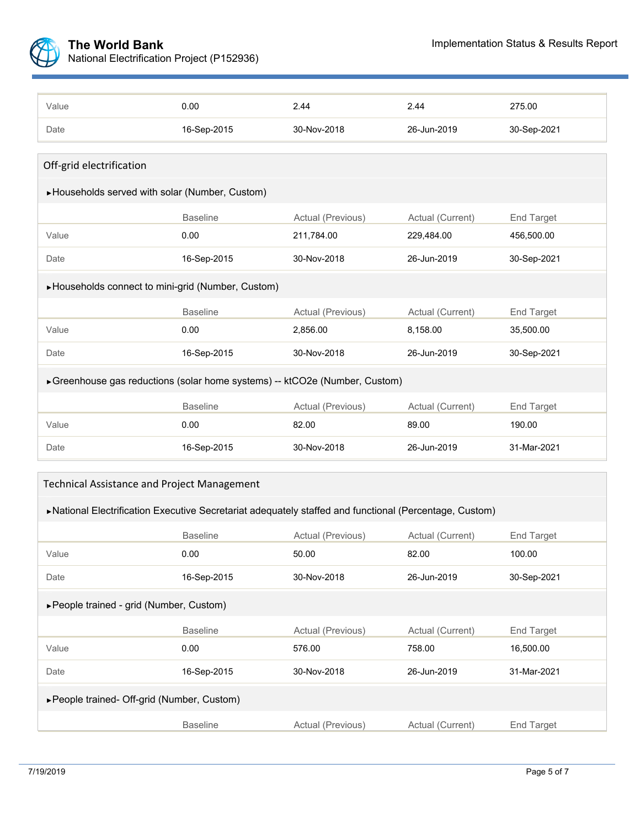

| Value                                                                       | 0.00            | 2.44              | 2.44             | 275.00            |  |
|-----------------------------------------------------------------------------|-----------------|-------------------|------------------|-------------------|--|
| Date                                                                        | 16-Sep-2015     | 30-Nov-2018       | 26-Jun-2019      | 30-Sep-2021       |  |
|                                                                             |                 |                   |                  |                   |  |
| Off-grid electrification                                                    |                 |                   |                  |                   |  |
| ▶Households served with solar (Number, Custom)                              |                 |                   |                  |                   |  |
|                                                                             | <b>Baseline</b> | Actual (Previous) | Actual (Current) | <b>End Target</b> |  |
| Value                                                                       | 0.00            | 211,784.00        | 229,484.00       | 456,500.00        |  |
| Date                                                                        | 16-Sep-2015     | 30-Nov-2018       | 26-Jun-2019      | 30-Sep-2021       |  |
| ► Households connect to mini-grid (Number, Custom)                          |                 |                   |                  |                   |  |
|                                                                             | <b>Baseline</b> | Actual (Previous) | Actual (Current) | <b>End Target</b> |  |
| Value                                                                       | 0.00            | 2,856.00          | 8,158.00         | 35,500.00         |  |
| Date                                                                        | 16-Sep-2015     | 30-Nov-2018       | 26-Jun-2019      | 30-Sep-2021       |  |
| ► Greenhouse gas reductions (solar home systems) -- ktCO2e (Number, Custom) |                 |                   |                  |                   |  |
|                                                                             | <b>Baseline</b> | Actual (Previous) | Actual (Current) | End Target        |  |
| Value                                                                       | 0.00            | 82.00             | 89.00            | 190.00            |  |
| Date                                                                        | 16-Sep-2015     | 30-Nov-2018       | 26-Jun-2019      | 31-Mar-2021       |  |

| Technical Assistance and Project Management |  |  |
|---------------------------------------------|--|--|
|---------------------------------------------|--|--|

| ▶National Electrification Executive Secretariat adequately staffed and functional (Percentage, Custom) |  |  |
|--------------------------------------------------------------------------------------------------------|--|--|
|--------------------------------------------------------------------------------------------------------|--|--|

|                                             | <b>Baseline</b> | Actual (Previous) | Actual (Current) | End Target        |  |
|---------------------------------------------|-----------------|-------------------|------------------|-------------------|--|
| Value                                       | 0.00            | 50.00             | 82.00            | 100.00            |  |
| Date                                        | 16-Sep-2015     | 30-Nov-2018       | 26-Jun-2019      | 30-Sep-2021       |  |
| ► People trained - grid (Number, Custom)    |                 |                   |                  |                   |  |
|                                             | <b>Baseline</b> | Actual (Previous) | Actual (Current) | <b>End Target</b> |  |
| Value                                       | 0.00            | 576.00            | 758.00           | 16,500.00         |  |
| Date                                        | 16-Sep-2015     | 30-Nov-2018       | 26-Jun-2019      | 31-Mar-2021       |  |
| ► People trained- Off-grid (Number, Custom) |                 |                   |                  |                   |  |
|                                             | <b>Baseline</b> | Actual (Previous) | Actual (Current) | <b>End Target</b> |  |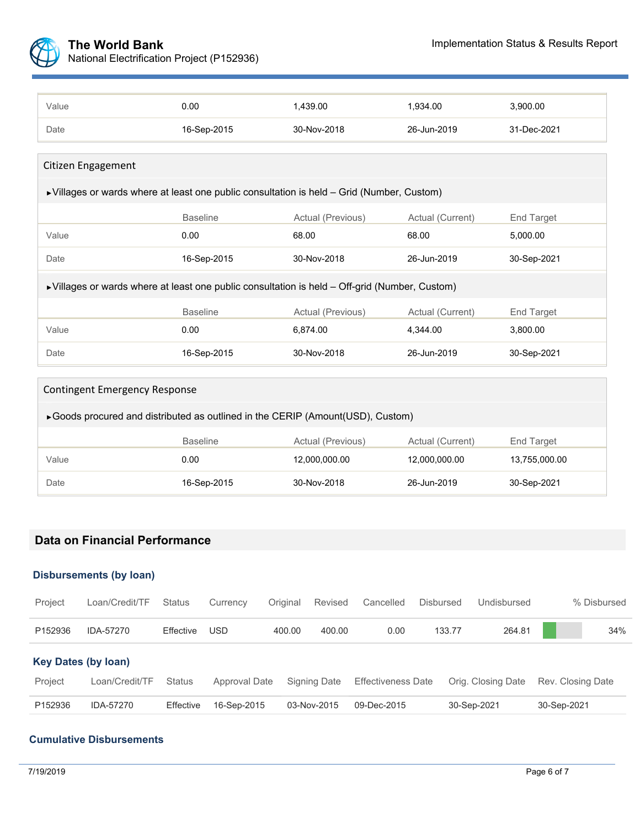

| Value                                                                                                         | 0.00            | 1,439.00          | 1,934.00         | 3,900.00    |
|---------------------------------------------------------------------------------------------------------------|-----------------|-------------------|------------------|-------------|
| Date                                                                                                          | 16-Sep-2015     | 30-Nov-2018       | 26-Jun-2019      | 31-Dec-2021 |
|                                                                                                               |                 |                   |                  |             |
| Citizen Engagement                                                                                            |                 |                   |                  |             |
| ▶ Villages or wards where at least one public consultation is held - Grid (Number, Custom)                    |                 |                   |                  |             |
|                                                                                                               | <b>Baseline</b> | Actual (Previous) | Actual (Current) | End Target  |
| Value                                                                                                         | 0.00            | 68.00             | 68.00            | 5,000.00    |
| Date                                                                                                          | 16-Sep-2015     | 30-Nov-2018       | 26-Jun-2019      | 30-Sep-2021 |
| $\triangleright$ Villages or wards where at least one public consultation is held – Off-grid (Number, Custom) |                 |                   |                  |             |
|                                                                                                               | <b>Baseline</b> | Actual (Previous) | Actual (Current) | End Target  |
| Value                                                                                                         | 0.00            | 6,874.00          | 4,344.00         | 3,800.00    |
| Date                                                                                                          | 16-Sep-2015     | 30-Nov-2018       | 26-Jun-2019      | 30-Sep-2021 |

| <b>Contingent Emergency Response</b>                                            |                 |                   |                  |               |  |
|---------------------------------------------------------------------------------|-----------------|-------------------|------------------|---------------|--|
| ► Goods procured and distributed as outlined in the CERIP (Amount(USD), Custom) |                 |                   |                  |               |  |
|                                                                                 | <b>Baseline</b> | Actual (Previous) | Actual (Current) | End Target    |  |
| Value                                                                           | 0.00            | 12.000.000.00     | 12,000,000.00    | 13,755,000.00 |  |
| Date                                                                            | 16-Sep-2015     | 30-Nov-2018       | 26-Jun-2019      | 30-Sep-2021   |  |

# **Data on Financial Performance**

## **Disbursements (by loan)**

| Project                    | Loan/Credit/TF | <b>Status</b> | Currency      | Original | Revised      | Cancelled                 | Disbursed | Undisbursed        |             | % Disbursed       |  |
|----------------------------|----------------|---------------|---------------|----------|--------------|---------------------------|-----------|--------------------|-------------|-------------------|--|
| P152936                    | IDA-57270      | Effective     | <b>USD</b>    | 400.00   | 400.00       | 0.00                      | 133.77    | 264.81             |             | 34%               |  |
| <b>Key Dates (by loan)</b> |                |               |               |          |              |                           |           |                    |             |                   |  |
| Project                    | Loan/Credit/TF | Status        | Approval Date |          | Signing Date | <b>Effectiveness Date</b> |           | Orig. Closing Date |             | Rev. Closing Date |  |
| P152936                    | IDA-57270      | Effective     | 16-Sep-2015   |          | 03-Nov-2015  | 09-Dec-2015               |           | 30-Sep-2021        | 30-Sep-2021 |                   |  |

#### **Cumulative Disbursements**